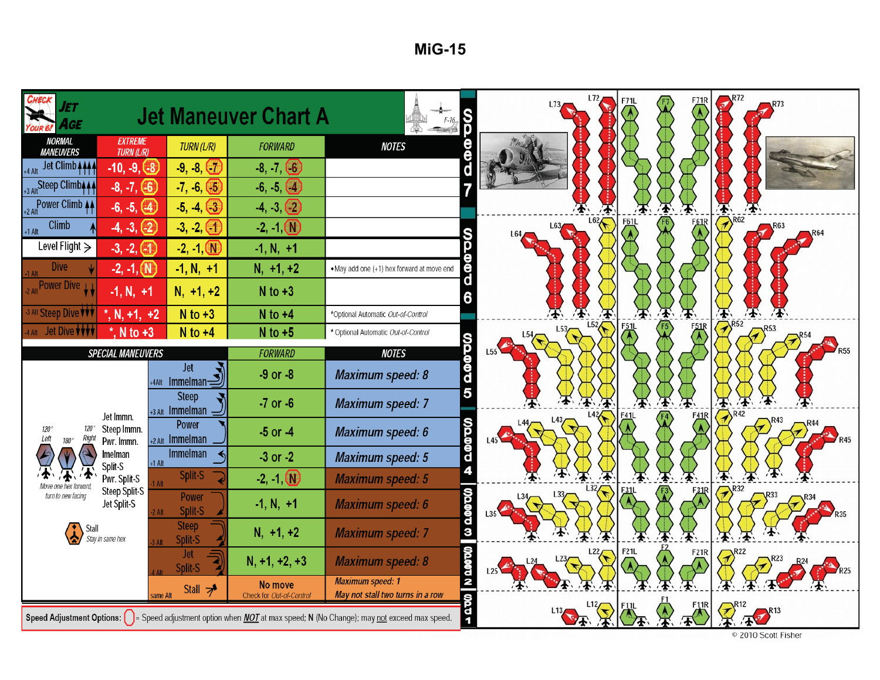| Jet<br>AGE<br>OUR <sub>6!</sub>       |                                                                            |                                            | <b>Jet Maneuver Chart A</b>         |                                                                                                                                      | F71R<br>L73                                                                |  |
|---------------------------------------|----------------------------------------------------------------------------|--------------------------------------------|-------------------------------------|--------------------------------------------------------------------------------------------------------------------------------------|----------------------------------------------------------------------------|--|
| <b>NORMAL</b><br><b>MANEUVERS</b>     | <b>EXTREME</b><br><b>TURN (L/R)</b><br><b>FORWARD</b><br><b>TURN (L/R)</b> |                                            | <b>NOTES</b>                        |                                                                                                                                      |                                                                            |  |
| Jet Climb 4444<br>+4 Alt              | $-9, -8, -7$<br>$-10, -9, -8$                                              |                                            | $-8, -7, -6$                        |                                                                                                                                      |                                                                            |  |
| +3 Alt Steep Climb4 44                | $-8, -7, -6$<br>$-7, -6, -5$                                               |                                            | $-6, -5, -4$                        |                                                                                                                                      |                                                                            |  |
| Power Climb 44                        | $-6, -5, 4$<br>$-5, -4, -3$<br>$-4, -3, 2$                                 |                                            |                                     |                                                                                                                                      |                                                                            |  |
| Climb<br>$+1$ Alt                     | $-4, -3, -2$                                                               | $-3, -2, (1)$                              | $-2, -1$ $\circled{N}$              |                                                                                                                                      | $\mathcal{P}^{\text{R62}}$<br>L62<br><b>F61L</b><br><b>F61R</b>            |  |
| Level Flight $\geq$                   | $-3, -2, -1$                                                               | $-2, -1, 0$                                | $-1, N, +1$                         |                                                                                                                                      |                                                                            |  |
| <b>Dive</b><br>1 Alt                  | $-2, -1, (\mathbb{N})$                                                     | $-1, N, +1$                                | $N, +1, +2$                         | . May add one (+1) hex forward at move end                                                                                           |                                                                            |  |
| 2 Alt Power Dive LL                   | $-1, N, +1$                                                                | $N, +1, +2$                                | $N$ to $+3$                         |                                                                                                                                      |                                                                            |  |
| <sup>3 Alt</sup> Steep Dive <b>VV</b> | $N$ to $+3$<br>$N$ to $+4$<br>$^*$ , N, +1, +2                             |                                            |                                     | *Optional Automatic Out-of-Control                                                                                                   |                                                                            |  |
| 4 Alt Jet Dive <b>WWW</b>             | $^*$ , N to +3                                                             | $N$ to $+4$                                | $N$ to $+5$                         | * Optional Automatic Out-of-Control                                                                                                  | $\mathcal{R}^{R52}$<br>L52<br><b>F51L</b><br>$\left(7\right)^{R53}$<br>L53 |  |
|                                       | <b>SPECIAL MANEUVERS</b>                                                   |                                            | <b>FORWARD</b>                      | <b>NOTES</b>                                                                                                                         |                                                                            |  |
|                                       |                                                                            | <b>Jet</b><br>+4Alt Immelman $\mathcal{I}$ | $-9$ or $-8$                        | -002<br>Maximum speed: 8                                                                                                             |                                                                            |  |
|                                       |                                                                            | <b>Steep</b><br>+3 Alt Immelman            | $-7$ or $-6$                        | <b>Maximum speed: 7</b>                                                                                                              | $\mathcal{P}^{R42}$                                                        |  |
| 120 <sup>o</sup><br>Right             | Jet Immn.<br>Steep Immn.<br>Pwr. Immn.                                     | <b>Power</b><br>$+2$ Alt Immelman          | $-5$ or $-4$                        | σφφρ<br>Maximum speed: 6                                                                                                             | L43/<br>R43<br>⇐                                                           |  |
|                                       | Imelman<br>Split-S                                                         | Immelman<br>$+1$ Alt                       | $-3$ or $-2$                        | Maximum speed: 5                                                                                                                     |                                                                            |  |
|                                       | Pwr. Split-S                                                               | Split-S<br><b>Alt</b>                      | $-2, -1$ $\circled{0}$              | <b>Maximum speed: 5</b>                                                                                                              | $\n  R32\n$                                                                |  |
| turn to new facing                    | Steep Split-S<br>Jet Split-S                                               | <b>Power</b><br>Split-S<br>Alt             | $-1, N, +1$                         | <b>Wagaan</b><br><b>Maximum speed: 6</b>                                                                                             |                                                                            |  |
| Stall                                 | Stay in same hex                                                           | <b>Steep</b><br>Split-S                    | $N, +1, +2$                         | <b>Maximum speed: 7</b>                                                                                                              |                                                                            |  |
|                                       |                                                                            | <b>Jet</b><br>Split-S                      | $N, +1, +2, +3$                     | <b>MOODO N</b><br><b>Maximum speed: 8</b>                                                                                            | <b>F21L</b><br>L <sub>22</sub><br>F21R                                     |  |
|                                       |                                                                            | Stall $\rightarrow$<br>ame Alt             | No move<br>Check for Out-of-Control | <b>Maximum speed: 1</b><br>May not stall two turns in a row                                                                          |                                                                            |  |
|                                       |                                                                            |                                            |                                     | 19<br>Speed Adjustment Options: [ ] = Speed adjustment option when <i>NOT</i> at max speed; N (No Change); may not exceed max speed. | 113<br>© 2010 Scott Fisher                                                 |  |